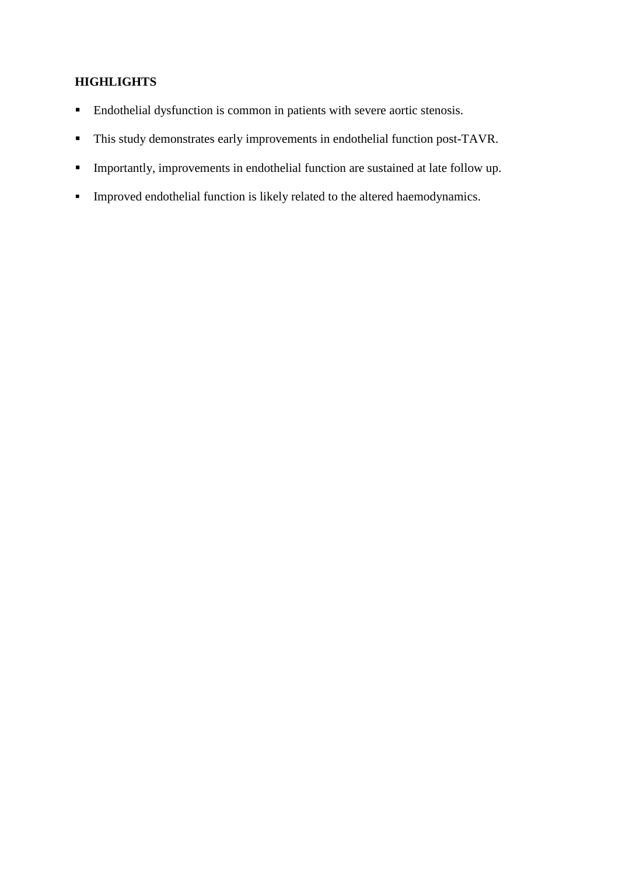## **HIGHLIGHTS**

- Endothelial dysfunction is common in patients with severe aortic stenosis.
- This study demonstrates early improvements in endothelial function post-TAVR.
- Importantly, improvements in endothelial function are sustained at late follow up.
- Improved endothelial function is likely related to the altered haemodynamics.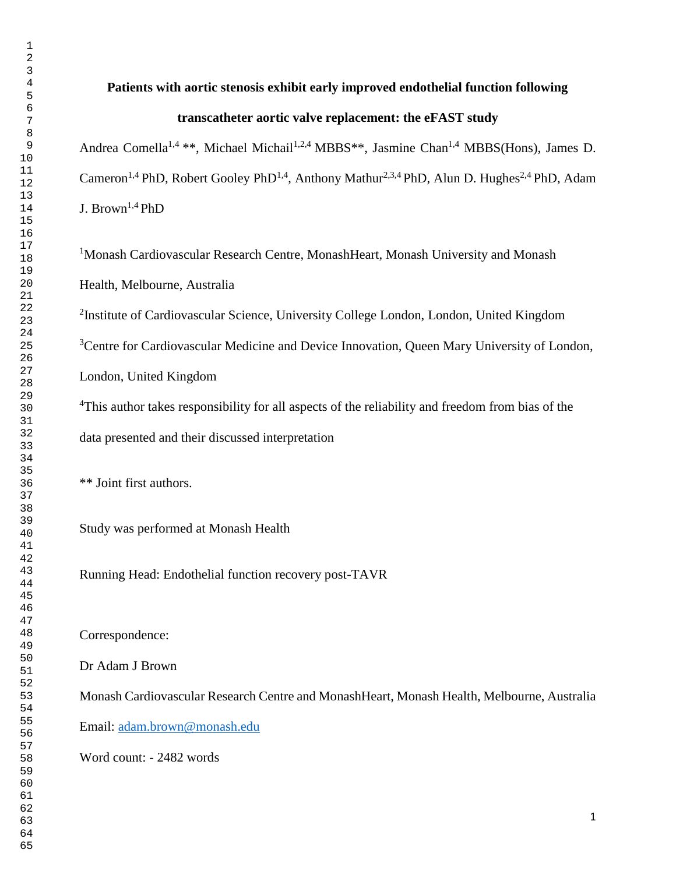#### **Patients with aortic stenosis exhibit early improved endothelial function following**

#### **transcatheter aortic valve replacement: the eFAST study**

Andrea Comella<sup>1,4</sup> \*\*, Michael Michail<sup>1,2,4</sup> MBBS<sup>\*\*</sup>, Jasmine Chan<sup>1,4</sup> MBBS(Hons), James D. Cameron<sup>1,4</sup> PhD, Robert Gooley PhD<sup>1,4</sup>, Anthony Mathur<sup>2,3,4</sup> PhD, Alun D. Hughes<sup>2,4</sup> PhD, Adam J. Brown<sup>1,4</sup> PhD

<sup>1</sup>Monash Cardiovascular Research Centre, MonashHeart, Monash University and Monash Health, Melbourne, Australia

<sup>2</sup>Institute of Cardiovascular Science, University College London, London, United Kingdom

<sup>3</sup>Centre for Cardiovascular Medicine and Device Innovation, Queen Mary University of London,

London, United Kingdom

<sup>4</sup>This author takes responsibility for all aspects of the reliability and freedom from bias of the data presented and their discussed interpretation

\*\* Joint first authors.

Study was performed at Monash Health

Running Head: Endothelial function recovery post-TAVR

Correspondence:

Dr Adam J Brown

Monash Cardiovascular Research Centre and MonashHeart, Monash Health, Melbourne, Australia Email: [adam.brown@monash.edu](mailto:adam.brown@monash.edu) Word count: - 2482 words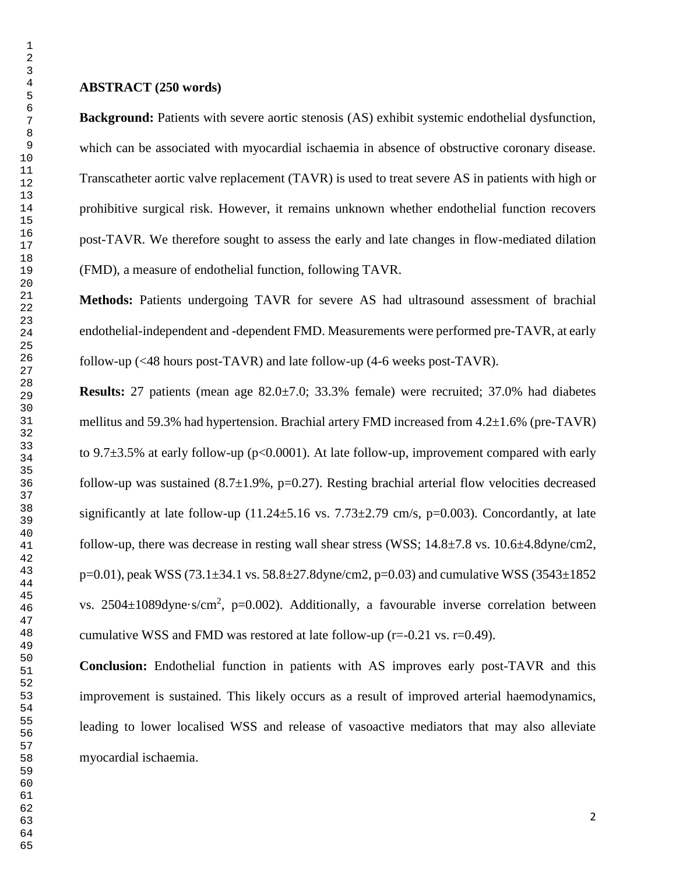**Background:** Patients with severe aortic stenosis (AS) exhibit systemic endothelial dysfunction, which can be associated with myocardial ischaemia in absence of obstructive coronary disease. Transcatheter aortic valve replacement (TAVR) is used to treat severe AS in patients with high or prohibitive surgical risk. However, it remains unknown whether endothelial function recovers post-TAVR. We therefore sought to assess the early and late changes in flow-mediated dilation (FMD), a measure of endothelial function, following TAVR.

**Methods:** Patients undergoing TAVR for severe AS had ultrasound assessment of brachial endothelial-independent and -dependent FMD. Measurements were performed pre-TAVR, at early follow-up (<48 hours post-TAVR) and late follow-up (4-6 weeks post-TAVR).

**Results:** 27 patients (mean age 82.0±7.0; 33.3% female) were recruited; 37.0% had diabetes mellitus and 59.3% had hypertension. Brachial artery FMD increased from 4.2±1.6% (pre-TAVR) to 9.7 $\pm$ 3.5% at early follow-up (p<0.0001). At late follow-up, improvement compared with early follow-up was sustained  $(8.7\pm1.9\%$ , p=0.27). Resting brachial arterial flow velocities decreased significantly at late follow-up  $(11.24 \pm 5.16 \text{ vs. } 7.73 \pm 2.79 \text{ cm/s}, \text{p=0.003})$ . Concordantly, at late follow-up, there was decrease in resting wall shear stress (WSS;  $14.8\pm7.8$  vs.  $10.6\pm4.8$ dyne/cm2,  $p=0.01$ ), peak WSS (73.1 $\pm$ 34.1 vs. 58.8 $\pm$ 27.8dyne/cm2, p=0.03) and cumulative WSS (3543 $\pm$ 1852 vs.  $2504 \pm 1089$ dyne·s/cm<sup>2</sup>, p=0.002). Additionally, a favourable inverse correlation between cumulative WSS and FMD was restored at late follow-up ( $r=-0.21$  vs.  $r=0.49$ ).

**Conclusion:** Endothelial function in patients with AS improves early post-TAVR and this improvement is sustained. This likely occurs as a result of improved arterial haemodynamics, leading to lower localised WSS and release of vasoactive mediators that may also alleviate myocardial ischaemia.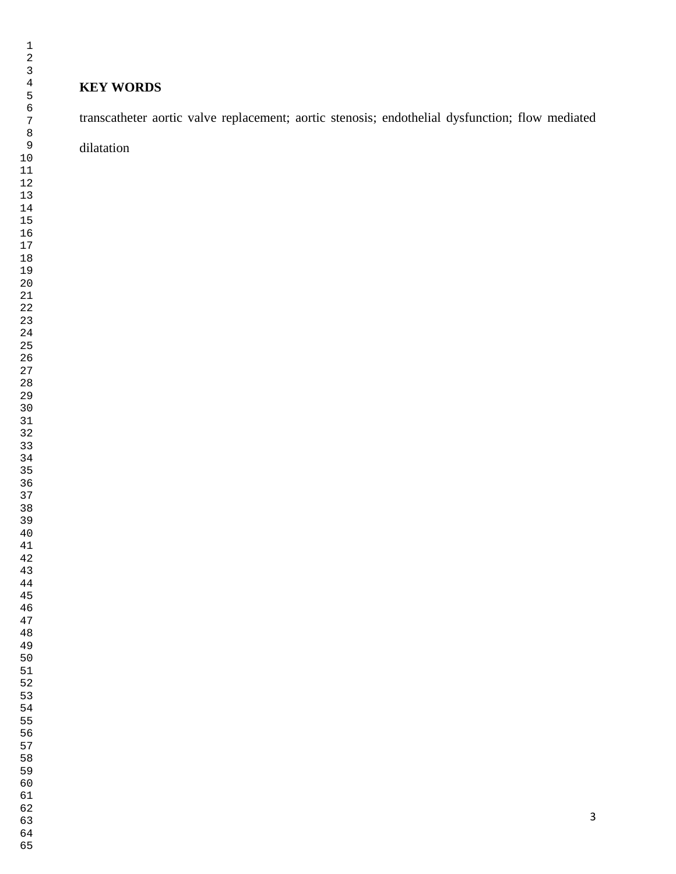## **KEY WORDS**

transcatheter aortic valve replacement; aortic stenosis; endothelial dysfunction; flow mediated

dilatation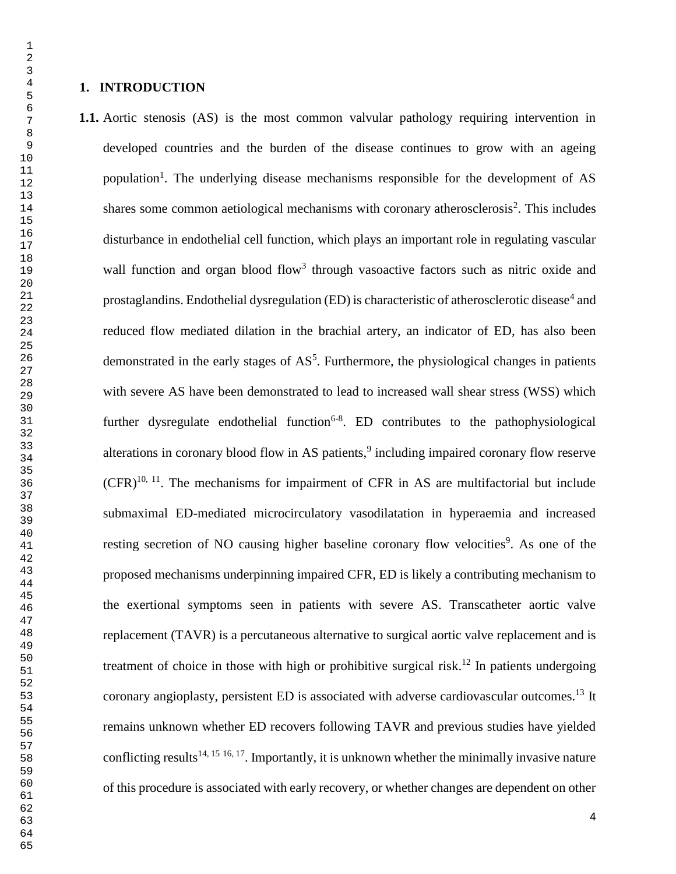### **1. INTRODUCTION**

**1.1.** Aortic stenosis (AS) is the most common valvular pathology requiring intervention in developed countries and the burden of the disease continues to grow with an ageing population<sup>1</sup>. The underlying disease mechanisms responsible for the development of AS shares some common aetiological mechanisms with coronary atherosclerosis<sup>2</sup>. This includes disturbance in endothelial cell function, which plays an important role in regulating vascular wall function and organ blood flow<sup>3</sup> through vasoactive factors such as nitric oxide and prostaglandins. Endothelial dysregulation (ED) is characteristic of atherosclerotic disease<sup>4</sup> and reduced flow mediated dilation in the brachial artery, an indicator of ED, has also been demonstrated in the early stages of  $AS<sup>5</sup>$ . Furthermore, the physiological changes in patients with severe AS have been demonstrated to lead to increased wall shear stress (WSS) which further dysregulate endothelial function<sup>6-8</sup>. ED contributes to the pathophysiological alterations in coronary blood flow in AS patients,<sup>9</sup> including impaired coronary flow reserve  $(CFR)^{10, 11}$ . The mechanisms for impairment of CFR in AS are multifactorial but include submaximal ED-mediated microcirculatory vasodilatation in hyperaemia and increased resting secretion of NO causing higher baseline coronary flow velocities<sup>9</sup>. As one of the proposed mechanisms underpinning impaired CFR, ED is likely a contributing mechanism to the exertional symptoms seen in patients with severe AS. Transcatheter aortic valve replacement (TAVR) is a percutaneous alternative to surgical aortic valve replacement and is treatment of choice in those with high or prohibitive surgical risk.<sup>12</sup> In patients undergoing coronary angioplasty, persistent ED is associated with adverse cardiovascular outcomes.<sup>13</sup> It remains unknown whether ED recovers following TAVR and previous studies have yielded conflicting results<sup>14, 15 16, 17</sup>. Importantly, it is unknown whether the minimally invasive nature of this procedure is associated with early recovery, or whether changes are dependent on other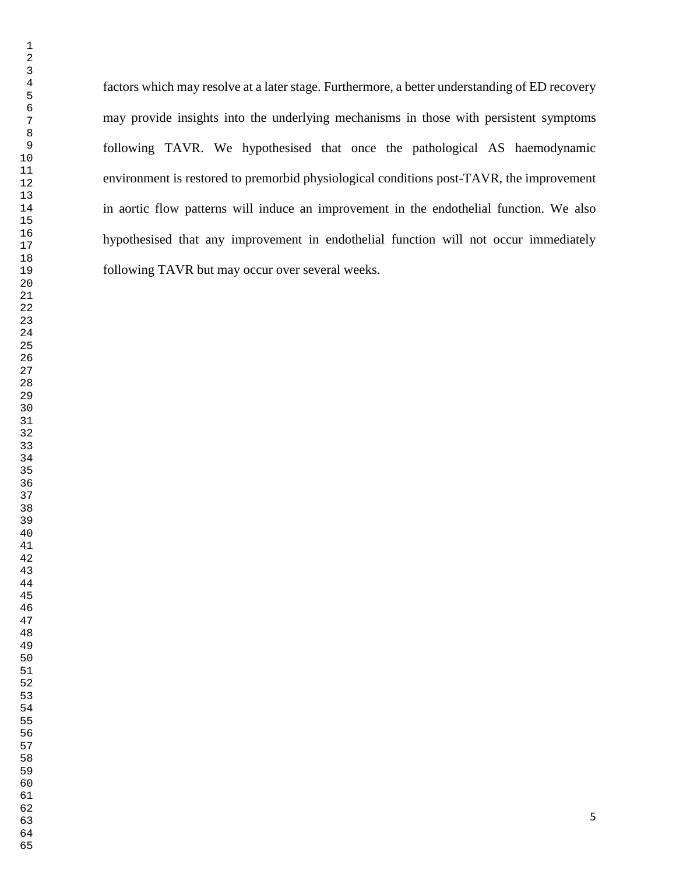factors which may resolve at a later stage. Furthermore, a better understanding of ED recovery following TAVR but may occur over several weeks. 

 

 

may provide insights into the underlying mechanisms in those with persistent symptoms following TAVR. We hypothesised that once the pathological AS haemodynamic environment is restored to premorbid physiological conditions post-TAVR, the improvement in aortic flow patterns will induce an improvement in the endothelial function. We also hypothesised that any improvement in endothelial function will not occur immediately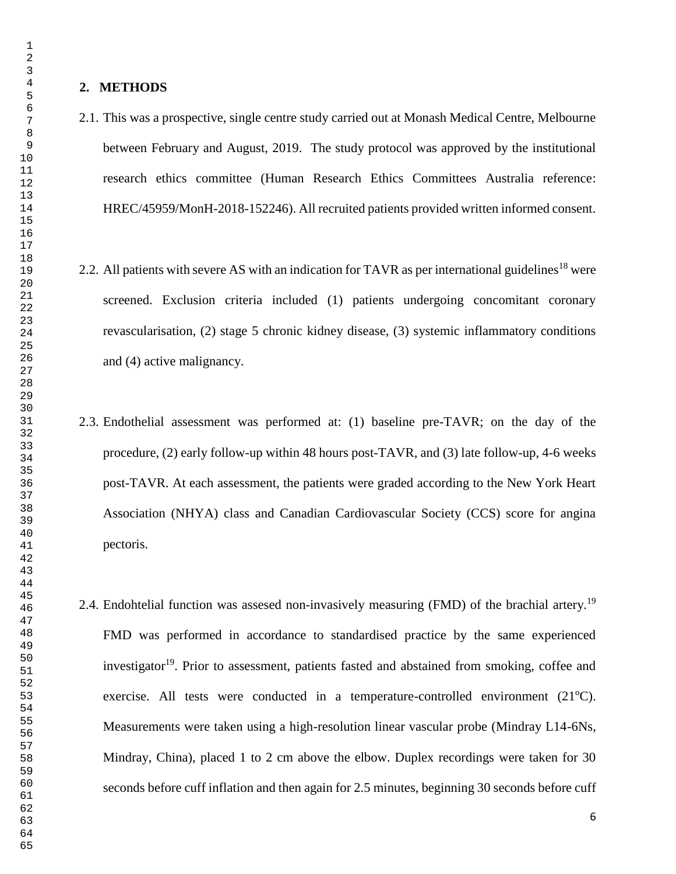#### **2. METHODS**

- 2.1. This was a prospective, single centre study carried out at Monash Medical Centre, Melbourne between February and August, 2019. The study protocol was approved by the institutional research ethics committee (Human Research Ethics Committees Australia reference: HREC/45959/MonH-2018-152246). All recruited patients provided written informed consent.
- 2.2. All patients with severe AS with an indication for TAVR as per international guidelines<sup>18</sup> were screened. Exclusion criteria included (1) patients undergoing concomitant coronary revascularisation, (2) stage 5 chronic kidney disease, (3) systemic inflammatory conditions and (4) active malignancy.
- 2.3. Endothelial assessment was performed at: (1) baseline pre-TAVR; on the day of the procedure, (2) early follow-up within 48 hours post-TAVR, and (3) late follow-up, 4-6 weeks post-TAVR. At each assessment, the patients were graded according to the New York Heart Association (NHYA) class and Canadian Cardiovascular Society (CCS) score for angina pectoris.
- 2.4. Endohtelial function was assesed non-invasively measuring (FMD) of the brachial artery.<sup>19</sup> FMD was performed in accordance to standardised practice by the same experienced investigator<sup>19</sup>. Prior to assessment, patients fasted and abstained from smoking, coffee and exercise. All tests were conducted in a temperature-controlled environment  $(21^{\circ}C)$ . Measurements were taken using a high-resolution linear vascular probe (Mindray L14-6Ns, Mindray, China), placed 1 to 2 cm above the elbow. Duplex recordings were taken for 30 seconds before cuff inflation and then again for 2.5 minutes, beginning 30 seconds before cuff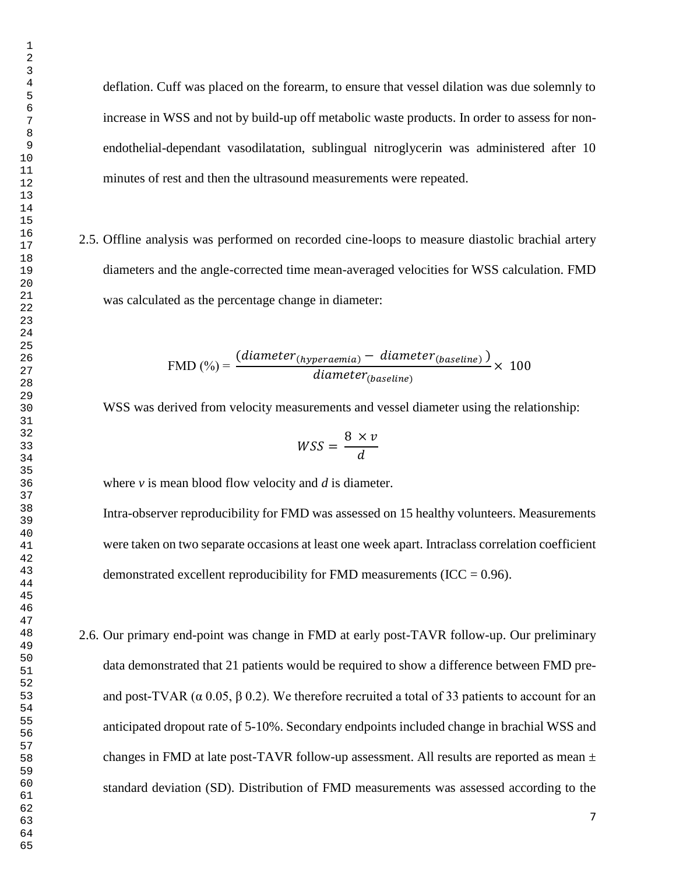deflation. Cuff was placed on the forearm, to ensure that vessel dilation was due solemnly to increase in WSS and not by build-up off metabolic waste products. In order to assess for nonendothelial-dependant vasodilatation, sublingual nitroglycerin was administered after 10 minutes of rest and then the ultrasound measurements were repeated.

2.5. Offline analysis was performed on recorded cine-loops to measure diastolic brachial artery diameters and the angle-corrected time mean-averaged velocities for WSS calculation. FMD was calculated as the percentage change in diameter:

$$
\text{FMD}(\%) = \frac{(diameter_{(hyperaemia)} - diameter_{(baseline)})}{diameter_{(baseline)}} \times 100
$$

WSS was derived from velocity measurements and vessel diameter using the relationship:

$$
WSS = \frac{8 \times v}{d}
$$

where *v* is mean blood flow velocity and *d* is diameter.

Intra-observer reproducibility for FMD was assessed on 15 healthy volunteers. Measurements were taken on two separate occasions at least one week apart. Intraclass correlation coefficient demonstrated excellent reproducibility for FMD measurements (ICC =  $0.96$ ).

2.6. Our primary end-point was change in FMD at early post-TAVR follow-up. Our preliminary data demonstrated that 21 patients would be required to show a difference between FMD preand post-TVAR ( $\alpha$  0.05,  $\beta$  0.2). We therefore recruited a total of 33 patients to account for an anticipated dropout rate of 5-10%. Secondary endpoints included change in brachial WSS and changes in FMD at late post-TAVR follow-up assessment. All results are reported as mean  $\pm$ standard deviation (SD). Distribution of FMD measurements was assessed according to the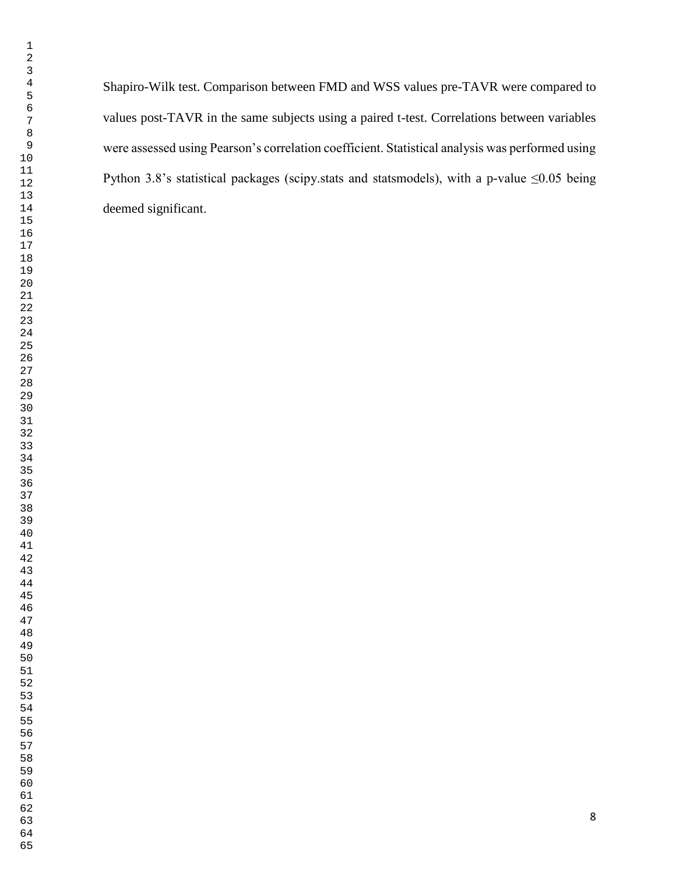> Shapiro-Wilk test. Comparison between FMD and WSS values pre-TAVR were compared to values post-TAVR in the same subjects using a paired t-test. Correlations between variables were assessed using Pearson's correlation coefficient. Statistical analysis was performed using Python 3.8's statistical packages (scipy.stats and statsmodels), with a p-value  $\leq 0.05$  being deemed significant.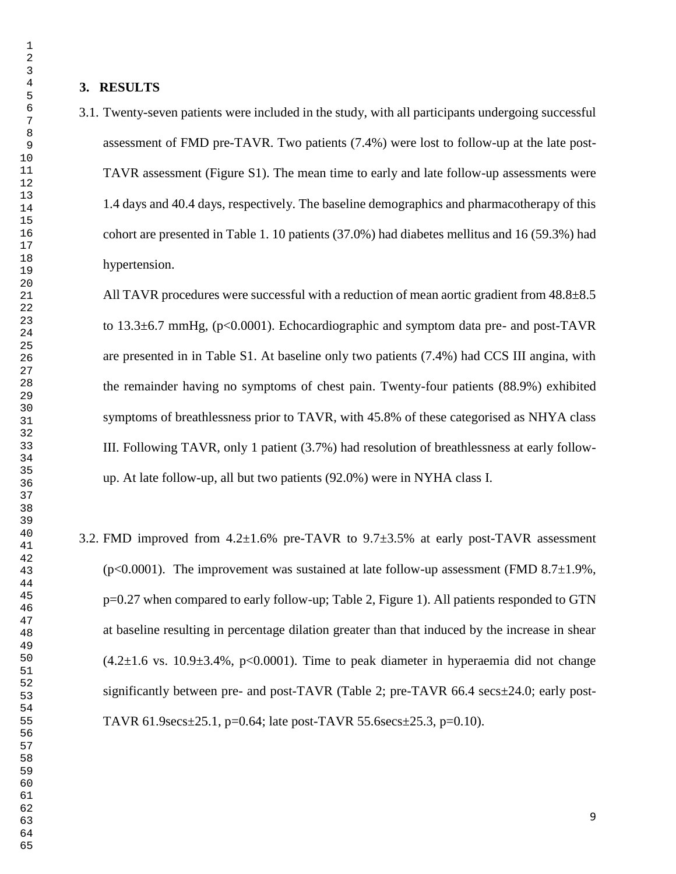3.1. Twenty-seven patients were included in the study, with all participants undergoing successful assessment of FMD pre-TAVR. Two patients (7.4%) were lost to follow-up at the late post-TAVR assessment (Figure S1). The mean time to early and late follow-up assessments were 1.4 days and 40.4 days, respectively. The baseline demographics and pharmacotherapy of this cohort are presented in Table 1. 10 patients (37.0%) had diabetes mellitus and 16 (59.3%) had hypertension.

All TAVR procedures were successful with a reduction of mean aortic gradient from 48.8±8.5 to 13.3±6.7 mmHg, (p<0.0001). Echocardiographic and symptom data pre- and post-TAVR are presented in in Table S1. At baseline only two patients (7.4%) had CCS III angina, with the remainder having no symptoms of chest pain. Twenty-four patients (88.9%) exhibited symptoms of breathlessness prior to TAVR, with 45.8% of these categorised as NHYA class III. Following TAVR, only 1 patient (3.7%) had resolution of breathlessness at early followup. At late follow-up, all but two patients (92.0%) were in NYHA class I.

3.2. FMD improved from  $4.2\pm1.6\%$  pre-TAVR to  $9.7\pm3.5\%$  at early post-TAVR assessment (p<0.0001). The improvement was sustained at late follow-up assessment (FMD 8.7 $\pm$ 1.9%, p=0.27 when compared to early follow-up; Table 2, Figure 1). All patients responded to GTN at baseline resulting in percentage dilation greater than that induced by the increase in shear  $(4.2\pm1.6 \text{ vs. } 10.9\pm3.4\%$ , p<0.0001). Time to peak diameter in hyperaemia did not change significantly between pre- and post-TAVR (Table 2; pre-TAVR 66.4 secs±24.0; early post-TAVR 61.9secs±25.1, p=0.64; late post-TAVR 55.6secs±25.3, p=0.10).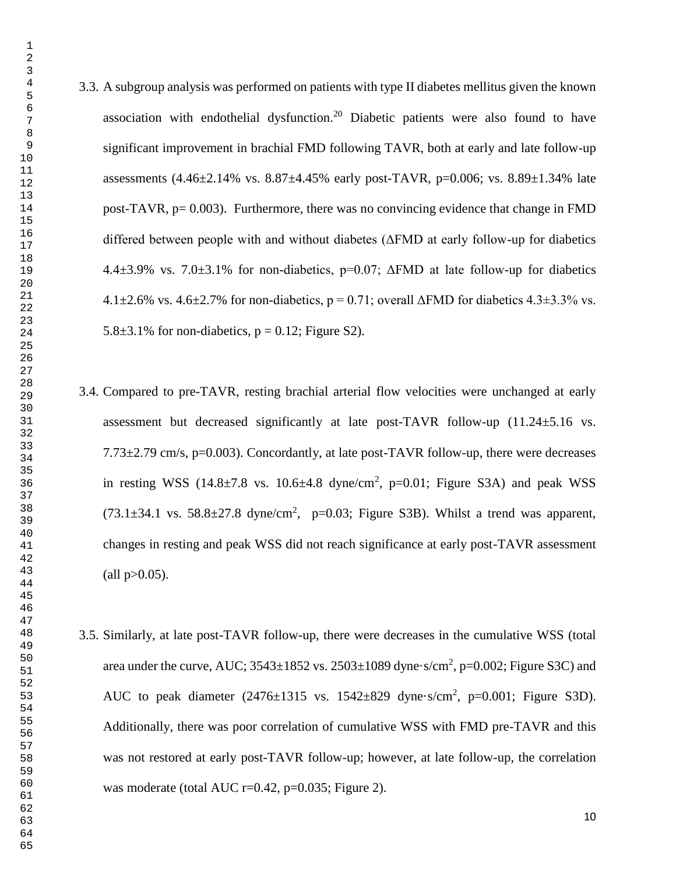3.3. A subgroup analysis was performed on patients with type II diabetes mellitus given the known association with endothelial dysfunction.<sup>20</sup> Diabetic patients were also found to have significant improvement in brachial FMD following TAVR, both at early and late follow-up assessments  $(4.46\pm2.14\%$  vs.  $8.87\pm4.45\%$  early post-TAVR, p=0.006; vs.  $8.89\pm1.34\%$  late post-TAVR, p= 0.003). Furthermore, there was no convincing evidence that change in FMD differed between people with and without diabetes (ΔFMD at early follow-up for diabetics  $4.4\pm3.9\%$  vs.  $7.0\pm3.1\%$  for non-diabetics, p=0.07;  $\triangle FMD$  at late follow-up for diabetics  $4.1\pm2.6\%$  vs.  $4.6\pm2.7\%$  for non-diabetics, p = 0.71; overall  $\Delta$ FMD for diabetics  $4.3\pm3.3\%$  vs. 5.8 $\pm$ 3.1% for non-diabetics, p = 0.12; Figure S2).

- 3.4. Compared to pre-TAVR, resting brachial arterial flow velocities were unchanged at early assessment but decreased significantly at late post-TAVR follow-up  $(11.24 \pm 5.16 \text{ vs.})$  $7.73\pm2.79$  cm/s, p=0.003). Concordantly, at late post-TAVR follow-up, there were decreases in resting WSS  $(14.8\pm7.8 \text{ vs. } 10.6\pm4.8 \text{ dyne/cm}^2, \text{ p=0.01}; \text{ Figure S3A})$  and peak WSS  $(73.1\pm34.1 \text{ vs. } 58.8\pm27.8 \text{ dyne/cm}^2$ , p=0.03; Figure S3B). Whilst a trend was apparent, changes in resting and peak WSS did not reach significance at early post-TAVR assessment  $\text{(all p>0.05)}.$
- 3.5. Similarly, at late post-TAVR follow-up, there were decreases in the cumulative WSS (total area under the curve, AUC;  $3543\pm1852$  vs.  $2503\pm1089$  dyne $\cdot$ s/cm<sup>2</sup>, p=0.002; Figure S3C) and AUC to peak diameter  $(2476\pm 1315 \text{ vs. } 1542\pm 829 \text{ dyne-s/cm}^2, \text{ p=0.001}; \text{ Figure S3D}).$ Additionally, there was poor correlation of cumulative WSS with FMD pre-TAVR and this was not restored at early post-TAVR follow-up; however, at late follow-up, the correlation was moderate (total AUC r=0.42, p=0.035; Figure 2).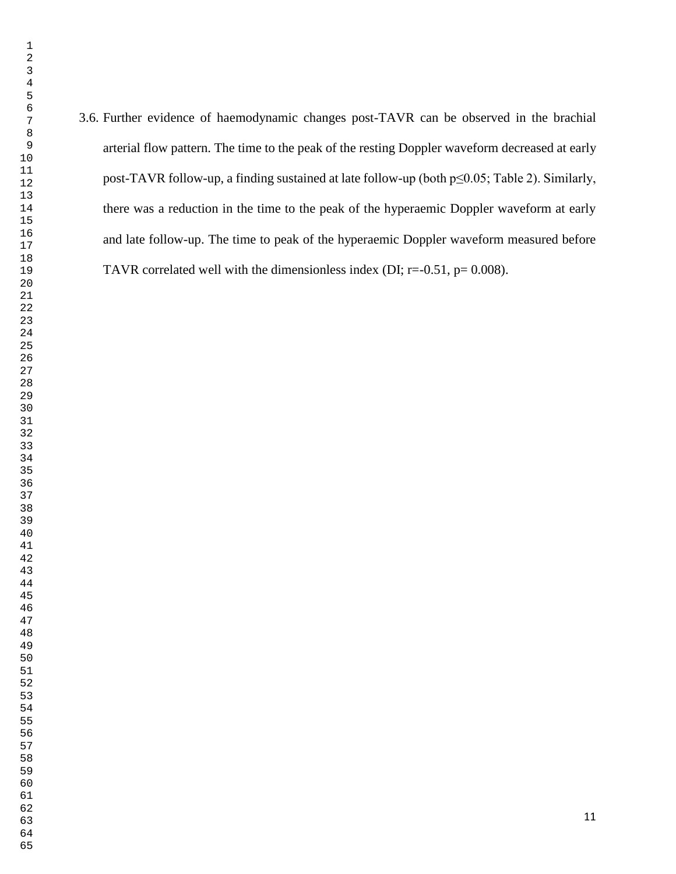3.6. Further evidence of haemodynamic changes post-TAVR can be observed in the brachial arterial flow pattern. The time to the peak of the resting Doppler waveform decreased at early post-TAVR follow-up, a finding sustained at late follow-up (both p≤0.05; Table 2). Similarly, there was a reduction in the time to the peak of the hyperaemic Doppler waveform at early and late follow-up. The time to peak of the hyperaemic Doppler waveform measured before TAVR correlated well with the dimensionless index (DI;  $r = -0.51$ ,  $p = 0.008$ ).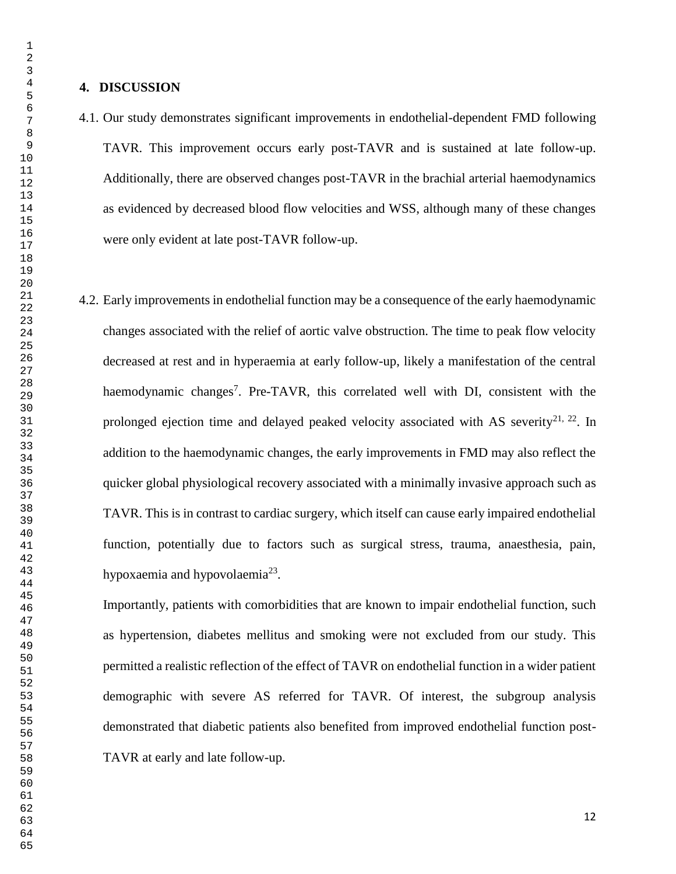#### **4. DISCUSSION**

4.1. Our study demonstrates significant improvements in endothelial-dependent FMD following TAVR. This improvement occurs early post-TAVR and is sustained at late follow-up. Additionally, there are observed changes post-TAVR in the brachial arterial haemodynamics as evidenced by decreased blood flow velocities and WSS, although many of these changes were only evident at late post-TAVR follow-up.

4.2. Early improvements in endothelial function may be a consequence of the early haemodynamic changes associated with the relief of aortic valve obstruction. The time to peak flow velocity decreased at rest and in hyperaemia at early follow-up, likely a manifestation of the central haemodynamic changes<sup>7</sup>. Pre-TAVR, this correlated well with DI, consistent with the prolonged ejection time and delayed peaked velocity associated with AS severity<sup>21, 22</sup>. In addition to the haemodynamic changes, the early improvements in FMD may also reflect the quicker global physiological recovery associated with a minimally invasive approach such as TAVR. This is in contrast to cardiac surgery, which itself can cause early impaired endothelial function, potentially due to factors such as surgical stress, trauma, anaesthesia, pain, hypoxaemia and hypovolaemia<sup>23</sup>.

Importantly, patients with comorbidities that are known to impair endothelial function, such as hypertension, diabetes mellitus and smoking were not excluded from our study. This permitted a realistic reflection of the effect of TAVR on endothelial function in a wider patient demographic with severe AS referred for TAVR. Of interest, the subgroup analysis demonstrated that diabetic patients also benefited from improved endothelial function post-TAVR at early and late follow-up.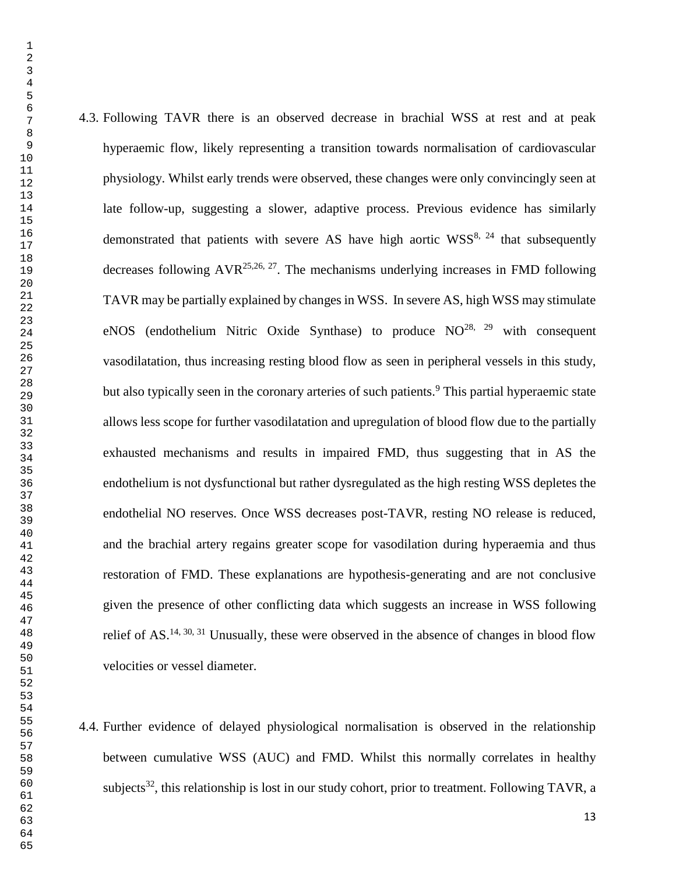- 4.3. Following TAVR there is an observed decrease in brachial WSS at rest and at peak hyperaemic flow, likely representing a transition towards normalisation of cardiovascular physiology. Whilst early trends were observed, these changes were only convincingly seen at late follow-up, suggesting a slower, adaptive process. Previous evidence has similarly demonstrated that patients with severe AS have high aortic  $WSS^{8, 24}$  that subsequently decreases following  $AVR^{25,26,27}$ . The mechanisms underlying increases in FMD following TAVR may be partially explained by changes in WSS. In severe AS, high WSS may stimulate eNOS (endothelium Nitric Oxide Synthase) to produce  $NO^{28}$ ,  $29$  with consequent vasodilatation, thus increasing resting blood flow as seen in peripheral vessels in this study, but also typically seen in the coronary arteries of such patients.<sup>9</sup> This partial hyperaemic state allows less scope for further vasodilatation and upregulation of blood flow due to the partially exhausted mechanisms and results in impaired FMD, thus suggesting that in AS the endothelium is not dysfunctional but rather dysregulated as the high resting WSS depletes the endothelial NO reserves. Once WSS decreases post-TAVR, resting NO release is reduced, and the brachial artery regains greater scope for vasodilation during hyperaemia and thus restoration of FMD. These explanations are hypothesis-generating and are not conclusive given the presence of other conflicting data which suggests an increase in WSS following relief of AS.<sup>14, 30, 31</sup> Unusually, these were observed in the absence of changes in blood flow velocities or vessel diameter. 4.4. Further evidence of delayed physiological normalisation is observed in the relationship between cumulative WSS (AUC) and FMD. Whilst this normally correlates in healthy subjects<sup>32</sup>, this relationship is lost in our study cohort, prior to treatment. Following TAVR, a
	-
	-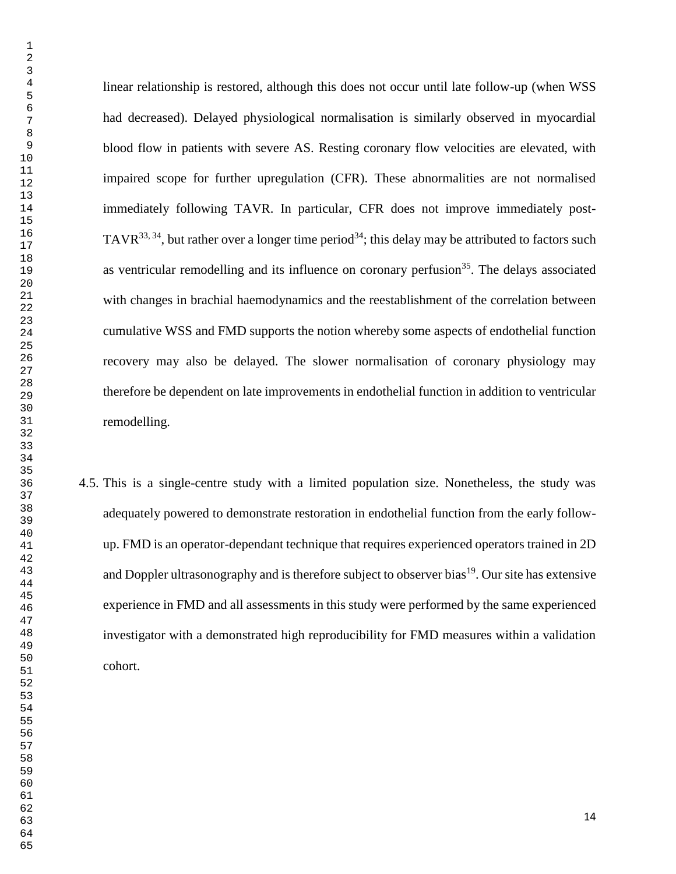linear relationship is restored, although this does not occur until late follow-up (when WSS had decreased). Delayed physiological normalisation is similarly observed in myocardial blood flow in patients with severe AS. Resting coronary flow velocities are elevated, with impaired scope for further upregulation (CFR). These abnormalities are not normalised immediately following TAVR. In particular, CFR does not improve immediately post-TAVR<sup>33, 34</sup>, but rather over a longer time period<sup>34</sup>; this delay may be attributed to factors such as ventricular remodelling and its influence on coronary perfusion<sup>35</sup>. The delays associated with changes in brachial haemodynamics and the reestablishment of the correlation between cumulative WSS and FMD supports the notion whereby some aspects of endothelial function recovery may also be delayed. The slower normalisation of coronary physiology may therefore be dependent on late improvements in endothelial function in addition to ventricular remodelling.

4.5. This is a single-centre study with a limited population size. Nonetheless, the study was adequately powered to demonstrate restoration in endothelial function from the early followup. FMD is an operator-dependant technique that requires experienced operators trained in 2D and Doppler ultrasonography and is therefore subject to observer bias<sup>19</sup>. Our site has extensive experience in FMD and all assessments in this study were performed by the same experienced investigator with a demonstrated high reproducibility for FMD measures within a validation cohort.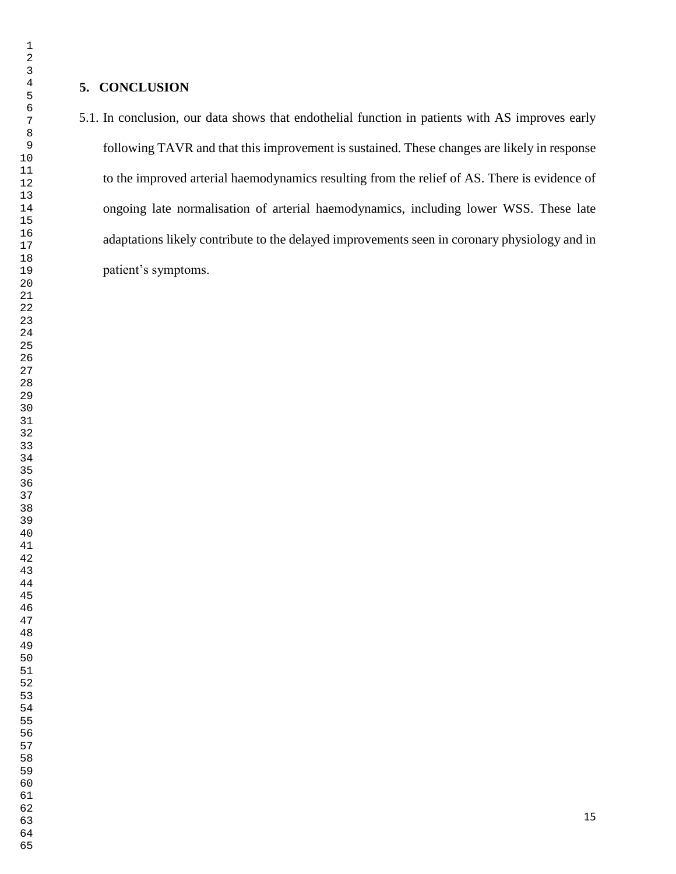5.1. In conclusion, our data shows that endothelial function in patients with AS improves early following TAVR and that this improvement is sustained. These changes are likely in response to the improved arterial haemodynamics resulting from the relief of AS. There is evidence of ongoing late normalisation of arterial haemodynamics, including lower WSS. These late adaptations likely contribute to the delayed improvements seen in coronary physiology and in patient's symptoms.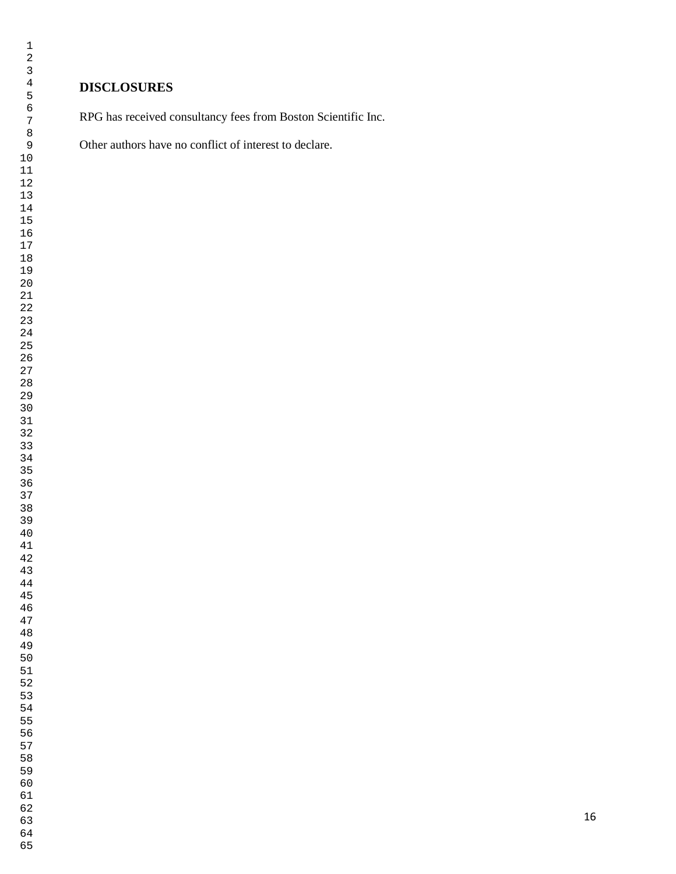## **DISCLOSURES**

RPG has received consultancy fees from Boston Scientific Inc.

Other authors have no conflict of interest to declare.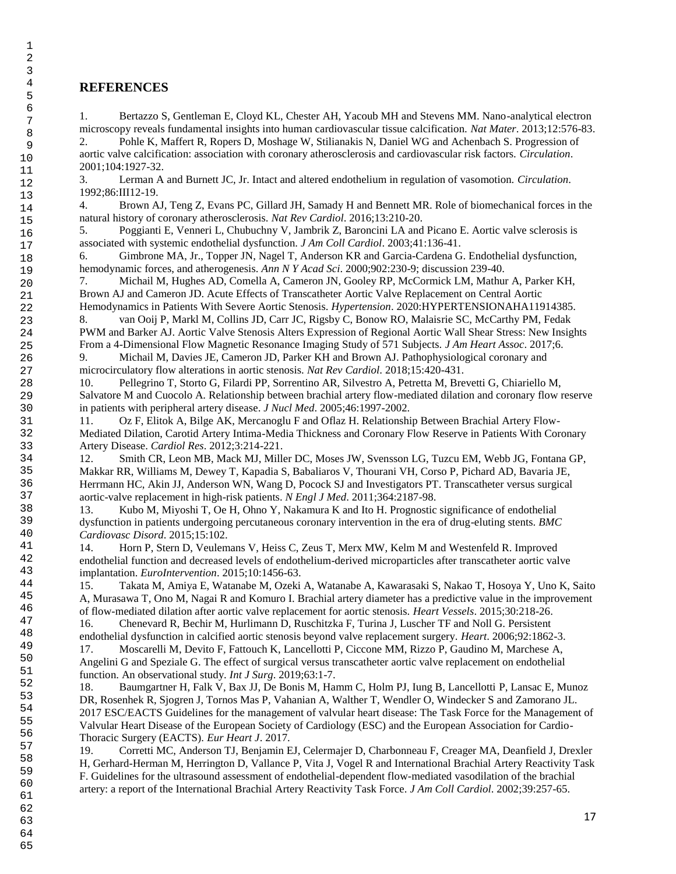#### **REFERENCES**

1. Bertazzo S, Gentleman E, Cloyd KL, Chester AH, Yacoub MH and Stevens MM. Nano-analytical electron microscopy reveals fundamental insights into human cardiovascular tissue calcification. *Nat Mater*. 2013;12:576-83.

2. Pohle K, Maffert R, Ropers D, Moshage W, Stilianakis N, Daniel WG and Achenbach S. Progression of aortic valve calcification: association with coronary atherosclerosis and cardiovascular risk factors. *Circulation*. 2001;104:1927-32.

3. Lerman A and Burnett JC, Jr. Intact and altered endothelium in regulation of vasomotion. *Circulation*. 1992;86:III12-19.

4. Brown AJ, Teng Z, Evans PC, Gillard JH, Samady H and Bennett MR. Role of biomechanical forces in the natural history of coronary atherosclerosis. *Nat Rev Cardiol*. 2016;13:210-20.

5. Poggianti E, Venneri L, Chubuchny V, Jambrik Z, Baroncini LA and Picano E. Aortic valve sclerosis is associated with systemic endothelial dysfunction. *J Am Coll Cardiol*. 2003;41:136-41.

6. Gimbrone MA, Jr., Topper JN, Nagel T, Anderson KR and Garcia-Cardena G. Endothelial dysfunction, hemodynamic forces, and atherogenesis. *Ann N Y Acad Sci*. 2000;902:230-9; discussion 239-40.

7. Michail M, Hughes AD, Comella A, Cameron JN, Gooley RP, McCormick LM, Mathur A, Parker KH, Brown AJ and Cameron JD. Acute Effects of Transcatheter Aortic Valve Replacement on Central Aortic Hemodynamics in Patients With Severe Aortic Stenosis. *Hypertension*. 2020:HYPERTENSIONAHA11914385.

8. van Ooij P, Markl M, Collins JD, Carr JC, Rigsby C, Bonow RO, Malaisrie SC, McCarthy PM, Fedak PWM and Barker AJ. Aortic Valve Stenosis Alters Expression of Regional Aortic Wall Shear Stress: New Insights From a 4-Dimensional Flow Magnetic Resonance Imaging Study of 571 Subjects. *J Am Heart Assoc*. 2017;6.

9. Michail M, Davies JE, Cameron JD, Parker KH and Brown AJ. Pathophysiological coronary and microcirculatory flow alterations in aortic stenosis. *Nat Rev Cardiol*. 2018;15:420-431.

10. Pellegrino T, Storto G, Filardi PP, Sorrentino AR, Silvestro A, Petretta M, Brevetti G, Chiariello M, Salvatore M and Cuocolo A. Relationship between brachial artery flow-mediated dilation and coronary flow reserve in patients with peripheral artery disease. *J Nucl Med*. 2005;46:1997-2002.

11. Oz F, Elitok A, Bilge AK, Mercanoglu F and Oflaz H. Relationship Between Brachial Artery Flow-Mediated Dilation, Carotid Artery Intima-Media Thickness and Coronary Flow Reserve in Patients With Coronary Artery Disease. *Cardiol Res*. 2012;3:214-221.

12. Smith CR, Leon MB, Mack MJ, Miller DC, Moses JW, Svensson LG, Tuzcu EM, Webb JG, Fontana GP, Makkar RR, Williams M, Dewey T, Kapadia S, Babaliaros V, Thourani VH, Corso P, Pichard AD, Bavaria JE, Herrmann HC, Akin JJ, Anderson WN, Wang D, Pocock SJ and Investigators PT. Transcatheter versus surgical aortic-valve replacement in high-risk patients. *N Engl J Med*. 2011;364:2187-98.

13. Kubo M, Miyoshi T, Oe H, Ohno Y, Nakamura K and Ito H. Prognostic significance of endothelial dysfunction in patients undergoing percutaneous coronary intervention in the era of drug-eluting stents. *BMC Cardiovasc Disord*. 2015;15:102.

14. Horn P, Stern D, Veulemans V, Heiss C, Zeus T, Merx MW, Kelm M and Westenfeld R. Improved endothelial function and decreased levels of endothelium-derived microparticles after transcatheter aortic valve implantation. *EuroIntervention*. 2015;10:1456-63.

15. Takata M, Amiya E, Watanabe M, Ozeki A, Watanabe A, Kawarasaki S, Nakao T, Hosoya Y, Uno K, Saito A, Murasawa T, Ono M, Nagai R and Komuro I. Brachial artery diameter has a predictive value in the improvement of flow-mediated dilation after aortic valve replacement for aortic stenosis. *Heart Vessels*. 2015;30:218-26.

16. Chenevard R, Bechir M, Hurlimann D, Ruschitzka F, Turina J, Luscher TF and Noll G. Persistent endothelial dysfunction in calcified aortic stenosis beyond valve replacement surgery. *Heart*. 2006;92:1862-3. 17. Moscarelli M, Devito F, Fattouch K, Lancellotti P, Ciccone MM, Rizzo P, Gaudino M, Marchese A, Angelini G and Speziale G. The effect of surgical versus transcatheter aortic valve replacement on endothelial

function. An observational study. *Int J Surg*. 2019;63:1-7.

18. Baumgartner H, Falk V, Bax JJ, De Bonis M, Hamm C, Holm PJ, Iung B, Lancellotti P, Lansac E, Munoz DR, Rosenhek R, Sjogren J, Tornos Mas P, Vahanian A, Walther T, Wendler O, Windecker S and Zamorano JL. 2017 ESC/EACTS Guidelines for the management of valvular heart disease: The Task Force for the Management of Valvular Heart Disease of the European Society of Cardiology (ESC) and the European Association for Cardio-Thoracic Surgery (EACTS). *Eur Heart J*. 2017.

19. Corretti MC, Anderson TJ, Benjamin EJ, Celermajer D, Charbonneau F, Creager MA, Deanfield J, Drexler H, Gerhard-Herman M, Herrington D, Vallance P, Vita J, Vogel R and International Brachial Artery Reactivity Task F. Guidelines for the ultrasound assessment of endothelial-dependent flow-mediated vasodilation of the brachial artery: a report of the International Brachial Artery Reactivity Task Force. *J Am Coll Cardiol*. 2002;39:257-65.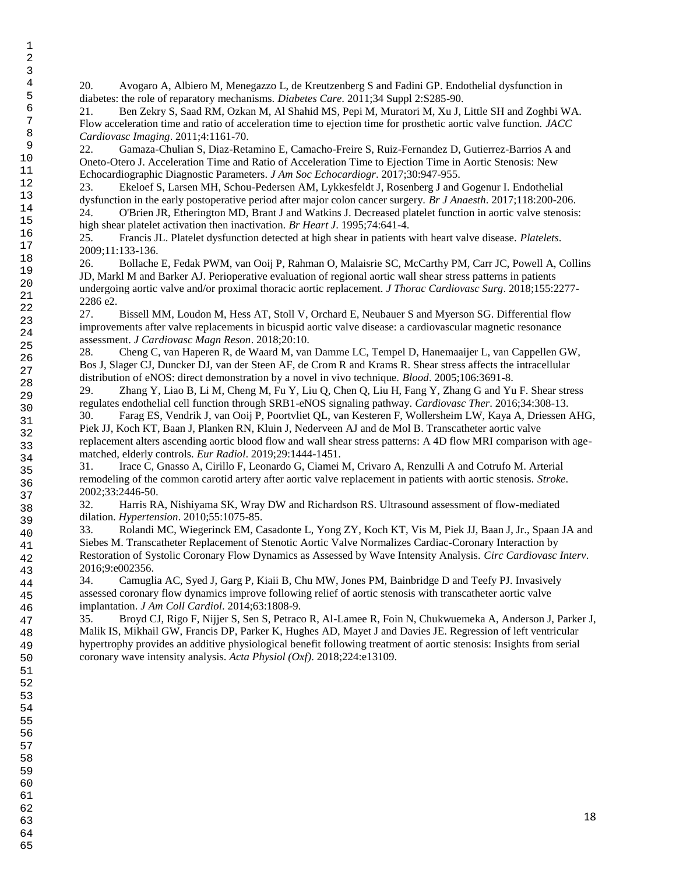20. Avogaro A, Albiero M, Menegazzo L, de Kreutzenberg S and Fadini GP. Endothelial dysfunction in diabetes: the role of reparatory mechanisms. *Diabetes Care*. 2011;34 Suppl 2:S285-90.

21. Ben Zekry S, Saad RM, Ozkan M, Al Shahid MS, Pepi M, Muratori M, Xu J, Little SH and Zoghbi WA. Flow acceleration time and ratio of acceleration time to ejection time for prosthetic aortic valve function. *JACC Cardiovasc Imaging*. 2011;4:1161-70.

22. Gamaza-Chulian S, Diaz-Retamino E, Camacho-Freire S, Ruiz-Fernandez D, Gutierrez-Barrios A and Oneto-Otero J. Acceleration Time and Ratio of Acceleration Time to Ejection Time in Aortic Stenosis: New Echocardiographic Diagnostic Parameters. *J Am Soc Echocardiogr*. 2017;30:947-955.

23. Ekeloef S, Larsen MH, Schou-Pedersen AM, Lykkesfeldt J, Rosenberg J and Gogenur I. Endothelial dysfunction in the early postoperative period after major colon cancer surgery. *Br J Anaesth*. 2017;118:200-206. 24. O'Brien JR, Etherington MD, Brant J and Watkins J. Decreased platelet function in aortic valve stenosis: high shear platelet activation then inactivation. *Br Heart J*. 1995;74:641-4.

25. Francis JL. Platelet dysfunction detected at high shear in patients with heart valve disease. *Platelets*. 2009;11:133-136.

26. Bollache E, Fedak PWM, van Ooij P, Rahman O, Malaisrie SC, McCarthy PM, Carr JC, Powell A, Collins JD, Markl M and Barker AJ. Perioperative evaluation of regional aortic wall shear stress patterns in patients undergoing aortic valve and/or proximal thoracic aortic replacement. *J Thorac Cardiovasc Surg*. 2018;155:2277- 2286 e2.

27. Bissell MM, Loudon M, Hess AT, Stoll V, Orchard E, Neubauer S and Myerson SG. Differential flow improvements after valve replacements in bicuspid aortic valve disease: a cardiovascular magnetic resonance assessment. *J Cardiovasc Magn Reson*. 2018;20:10.

28. Cheng C, van Haperen R, de Waard M, van Damme LC, Tempel D, Hanemaaijer L, van Cappellen GW, Bos J, Slager CJ, Duncker DJ, van der Steen AF, de Crom R and Krams R. Shear stress affects the intracellular distribution of eNOS: direct demonstration by a novel in vivo technique. *Blood*. 2005;106:3691-8.

29. Zhang Y, Liao B, Li M, Cheng M, Fu Y, Liu Q, Chen Q, Liu H, Fang Y, Zhang G and Yu F. Shear stress regulates endothelial cell function through SRB1-eNOS signaling pathway. *Cardiovasc Ther*. 2016;34:308-13.

30. Farag ES, Vendrik J, van Ooij P, Poortvliet QL, van Kesteren F, Wollersheim LW, Kaya A, Driessen AHG, Piek JJ, Koch KT, Baan J, Planken RN, Kluin J, Nederveen AJ and de Mol B. Transcatheter aortic valve replacement alters ascending aortic blood flow and wall shear stress patterns: A 4D flow MRI comparison with agematched, elderly controls. *Eur Radiol*. 2019;29:1444-1451.

31. Irace C, Gnasso A, Cirillo F, Leonardo G, Ciamei M, Crivaro A, Renzulli A and Cotrufo M. Arterial remodeling of the common carotid artery after aortic valve replacement in patients with aortic stenosis. *Stroke*. 2002;33:2446-50.

32. Harris RA, Nishiyama SK, Wray DW and Richardson RS. Ultrasound assessment of flow-mediated dilation. *Hypertension*. 2010;55:1075-85.

33. Rolandi MC, Wiegerinck EM, Casadonte L, Yong ZY, Koch KT, Vis M, Piek JJ, Baan J, Jr., Spaan JA and Siebes M. Transcatheter Replacement of Stenotic Aortic Valve Normalizes Cardiac-Coronary Interaction by Restoration of Systolic Coronary Flow Dynamics as Assessed by Wave Intensity Analysis. *Circ Cardiovasc Interv*. 2016;9:e002356.

34. Camuglia AC, Syed J, Garg P, Kiaii B, Chu MW, Jones PM, Bainbridge D and Teefy PJ. Invasively assessed coronary flow dynamics improve following relief of aortic stenosis with transcatheter aortic valve implantation. *J Am Coll Cardiol*. 2014;63:1808-9.

35. Broyd CJ, Rigo F, Nijjer S, Sen S, Petraco R, Al-Lamee R, Foin N, Chukwuemeka A, Anderson J, Parker J, Malik IS, Mikhail GW, Francis DP, Parker K, Hughes AD, Mayet J and Davies JE. Regression of left ventricular hypertrophy provides an additive physiological benefit following treatment of aortic stenosis: Insights from serial coronary wave intensity analysis. *Acta Physiol (Oxf)*. 2018;224:e13109.

49 50

53 54

60

61 62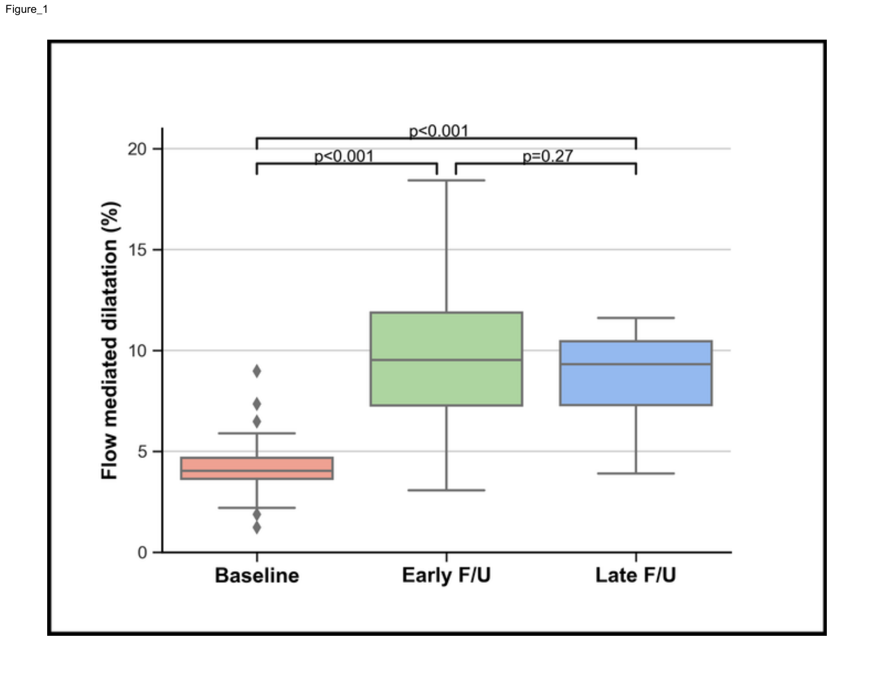

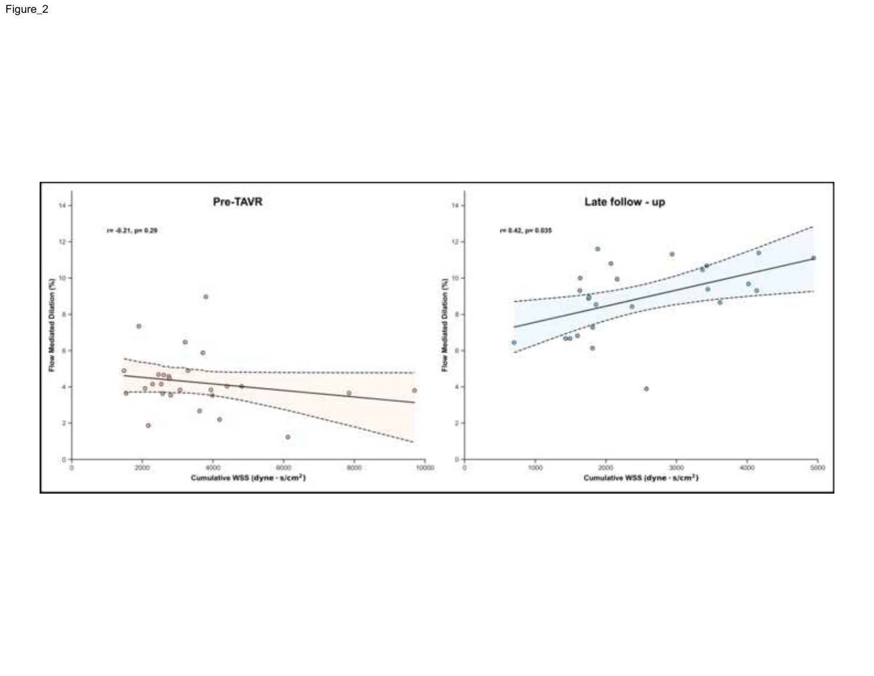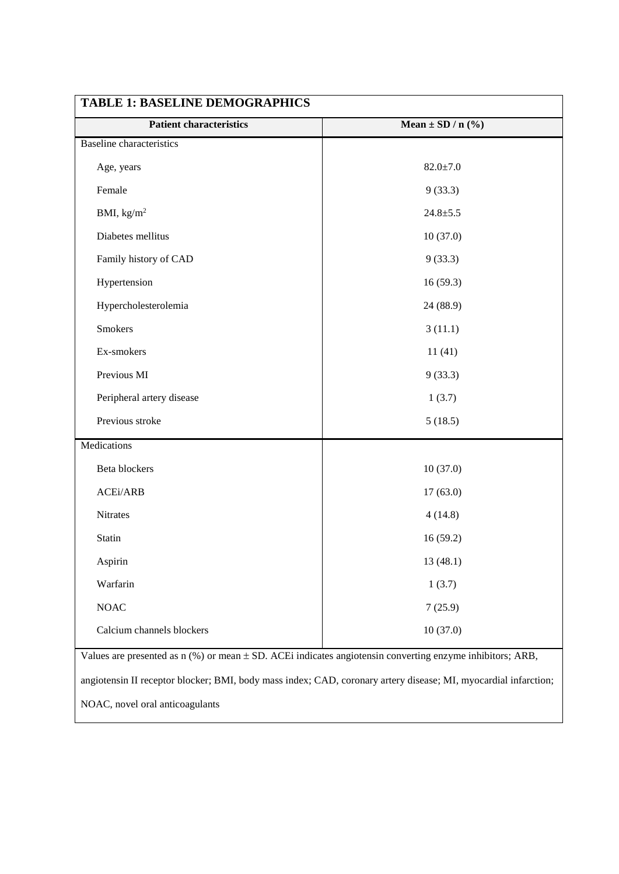| <b>Patient characteristics</b>  | Mean $\pm$ SD / n $(\sqrt[9]{6})$ |  |  |
|---------------------------------|-----------------------------------|--|--|
| <b>Baseline</b> characteristics |                                   |  |  |
| Age, years                      | $82.0 \pm 7.0$                    |  |  |
| Female                          | 9(33.3)                           |  |  |
| BMI, $\text{kg/m}^2$            | $24.8 + 5.5$                      |  |  |
| Diabetes mellitus               | 10(37.0)                          |  |  |
| Family history of CAD           | 9(33.3)                           |  |  |
| Hypertension                    | 16(59.3)                          |  |  |
| Hypercholesterolemia            | 24 (88.9)                         |  |  |
| <b>Smokers</b>                  | 3(11.1)                           |  |  |
| Ex-smokers                      | 11(41)                            |  |  |
| Previous MI                     | 9(33.3)                           |  |  |
| Peripheral artery disease       | 1(3.7)                            |  |  |
| Previous stroke                 | 5(18.5)                           |  |  |
| Medications                     |                                   |  |  |
| Beta blockers                   | 10(37.0)                          |  |  |
| ACEi/ARB                        | 17(63.0)                          |  |  |
| Nitrates                        | 4(14.8)                           |  |  |
| Statin                          | 16(59.2)                          |  |  |
| Aspirin                         | 13 (48.1)                         |  |  |
| Warfarin                        | 1(3.7)                            |  |  |
| <b>NOAC</b>                     | 7(25.9)                           |  |  |
| Calcium channels blockers       | 10(37.0)                          |  |  |

angiotensin II receptor blocker; BMI, body mass index; CAD, coronary artery disease; MI, myocardial infarction;

NOAC, novel oral anticoagulants